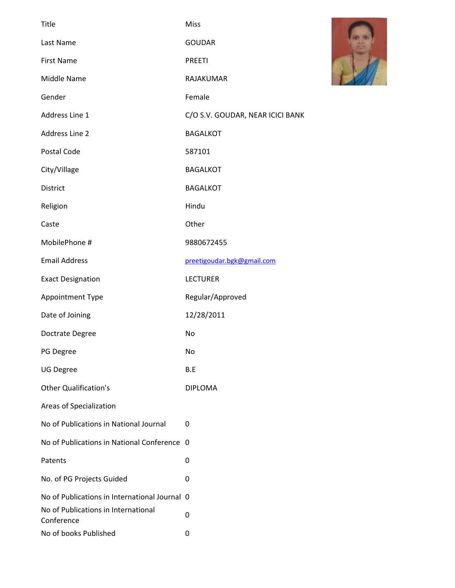| <b>Title</b>                                      | Miss                             |
|---------------------------------------------------|----------------------------------|
| Last Name                                         | <b>GOUDAR</b>                    |
| <b>First Name</b>                                 | <b>PREETI</b>                    |
| Middle Name                                       | RAJAKUMAR                        |
| Gender                                            | Female                           |
| Address Line 1                                    | C/O S.V. GOUDAR, NEAR ICICI BANK |
| <b>Address Line 2</b>                             | <b>BAGALKOT</b>                  |
| Postal Code                                       | 587101                           |
| City/Village                                      | <b>BAGALKOT</b>                  |
| <b>District</b>                                   | <b>BAGALKOT</b>                  |
| Religion                                          | Hindu                            |
| Caste                                             | Other                            |
| MobilePhone #                                     | 9880672455                       |
| <b>Email Address</b>                              | preetigoudar.bgk@gmail.com       |
| <b>Exact Designation</b>                          | <b>LECTURER</b>                  |
| Appointment Type                                  | Regular/Approved                 |
| Date of Joining                                   | 12/28/2011                       |
| Doctrate Degree                                   | No                               |
| PG Degree                                         | No                               |
| <b>UG Degree</b>                                  | B.E                              |
| <b>Other Qualification's</b>                      | <b>DIPLOMA</b>                   |
| Areas of Specialization                           |                                  |
| No of Publications in National Journal            | 0                                |
| No of Publications in National Conference 0       |                                  |
| Patents                                           | 0                                |
| No. of PG Projects Guided                         | 0                                |
| No of Publications in International Journal 0     |                                  |
| No of Publications in International<br>Conference | 0                                |
| No of books Published                             | 0                                |

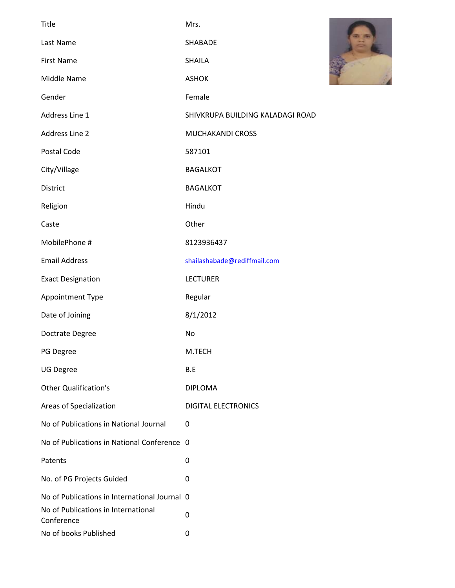| Title                                             | Mrs.                             |  |
|---------------------------------------------------|----------------------------------|--|
| Last Name                                         | SHABADE                          |  |
| <b>First Name</b>                                 | <b>SHAILA</b>                    |  |
| Middle Name                                       | <b>ASHOK</b>                     |  |
| Gender                                            | Female                           |  |
| Address Line 1                                    | SHIVKRUPA BUILDING KALADAGI ROAD |  |
| Address Line 2                                    | MUCHAKANDI CROSS                 |  |
| Postal Code                                       | 587101                           |  |
| City/Village                                      | <b>BAGALKOT</b>                  |  |
| District                                          | <b>BAGALKOT</b>                  |  |
| Religion                                          | Hindu                            |  |
| Caste                                             | Other                            |  |
| MobilePhone #                                     | 8123936437                       |  |
| <b>Email Address</b>                              | shailashabade@rediffmail.com     |  |
| <b>Exact Designation</b>                          | <b>LECTURER</b>                  |  |
| Appointment Type                                  | Regular                          |  |
| Date of Joining                                   | 8/1/2012                         |  |
| Doctrate Degree                                   | No                               |  |
| PG Degree                                         | M.TECH                           |  |
| <b>UG Degree</b>                                  | B.E                              |  |
| <b>Other Qualification's</b>                      | <b>DIPLOMA</b>                   |  |
| Areas of Specialization                           | <b>DIGITAL ELECTRONICS</b>       |  |
| No of Publications in National Journal            | 0                                |  |
| No of Publications in National Conference 0       |                                  |  |
| Patents                                           | 0                                |  |
| No. of PG Projects Guided                         | 0                                |  |
| No of Publications in International Journal 0     |                                  |  |
| No of Publications in International<br>Conference | $\pmb{0}$                        |  |
| No of books Published                             | $\pmb{0}$                        |  |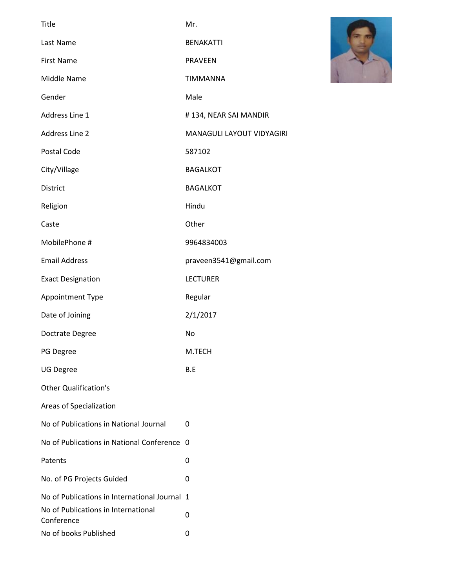| <b>Title</b>                                      | Mr.                       |
|---------------------------------------------------|---------------------------|
| Last Name                                         | <b>BENAKATTI</b>          |
| <b>First Name</b>                                 | <b>PRAVEEN</b>            |
| Middle Name                                       | <b>TIMMANNA</b>           |
| Gender                                            | Male                      |
| Address Line 1                                    | #134, NEAR SAI MANDIR     |
| <b>Address Line 2</b>                             | MANAGULI LAYOUT VIDYAGIRI |
| Postal Code                                       | 587102                    |
| City/Village                                      | <b>BAGALKOT</b>           |
| <b>District</b>                                   | <b>BAGALKOT</b>           |
| Religion                                          | Hindu                     |
| Caste                                             | Other                     |
| MobilePhone #                                     | 9964834003                |
| <b>Email Address</b>                              | praveen3541@gmail.com     |
| <b>Exact Designation</b>                          | <b>LECTURER</b>           |
| Appointment Type                                  | Regular                   |
| Date of Joining                                   | 2/1/2017                  |
| Doctrate Degree                                   | No                        |
| PG Degree                                         | M.TECH                    |
| <b>UG Degree</b>                                  | B.E                       |
| <b>Other Qualification's</b>                      |                           |
| Areas of Specialization                           |                           |
| No of Publications in National Journal            | 0                         |
| No of Publications in National Conference         | 0                         |
| Patents                                           | 0                         |
| No. of PG Projects Guided                         | 0                         |
| No of Publications in International Journal 1     |                           |
| No of Publications in International<br>Conference | 0                         |
| No of books Published                             | 0                         |

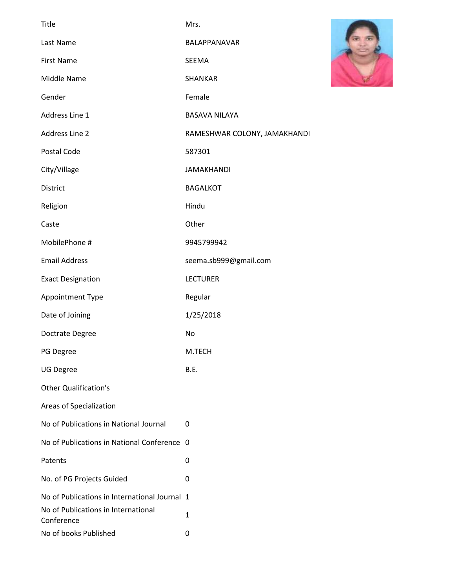| Title                                             | Mrs.                         |
|---------------------------------------------------|------------------------------|
| Last Name                                         | BALAPPANAVAR                 |
| <b>First Name</b>                                 | SEEMA                        |
| Middle Name                                       | SHANKAR                      |
| Gender                                            | Female                       |
| Address Line 1                                    | <b>BASAVA NILAYA</b>         |
| <b>Address Line 2</b>                             | RAMESHWAR COLONY, JAMAKHANDI |
| <b>Postal Code</b>                                | 587301                       |
| City/Village                                      | <b>JAMAKHANDI</b>            |
| <b>District</b>                                   | <b>BAGALKOT</b>              |
| Religion                                          | Hindu                        |
| Caste                                             | Other                        |
| MobilePhone #                                     | 9945799942                   |
| <b>Email Address</b>                              | seema.sb999@gmail.com        |
| <b>Exact Designation</b>                          | <b>LECTURER</b>              |
| Appointment Type                                  | Regular                      |
| Date of Joining                                   | 1/25/2018                    |
| Doctrate Degree                                   | No                           |
| PG Degree                                         | M.TECH                       |
| <b>UG Degree</b>                                  | B.E.                         |
| <b>Other Qualification's</b>                      |                              |
| Areas of Specialization                           |                              |
| No of Publications in National Journal            | 0                            |
| No of Publications in National Conference         | 0                            |
| Patents                                           | 0                            |
| No. of PG Projects Guided                         | 0                            |
| No of Publications in International Journal 1     |                              |
| No of Publications in International<br>Conference | $\mathbf{1}$                 |
| No of books Published                             | 0                            |

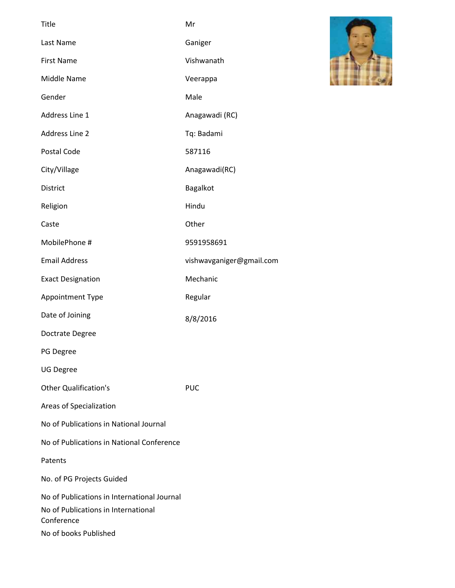| <b>Title</b>                                                                                                              | Mr                       |
|---------------------------------------------------------------------------------------------------------------------------|--------------------------|
| Last Name                                                                                                                 | Ganiger                  |
| <b>First Name</b>                                                                                                         | Vishwanath               |
| Middle Name                                                                                                               | Veerappa                 |
| Gender                                                                                                                    | Male                     |
| Address Line 1                                                                                                            | Anagawadi (RC)           |
| <b>Address Line 2</b>                                                                                                     | Tq: Badami               |
| <b>Postal Code</b>                                                                                                        | 587116                   |
| City/Village                                                                                                              | Anagawadi(RC)            |
| <b>District</b>                                                                                                           | <b>Bagalkot</b>          |
| Religion                                                                                                                  | Hindu                    |
| Caste                                                                                                                     | Other                    |
| MobilePhone #                                                                                                             | 9591958691               |
| <b>Email Address</b>                                                                                                      | vishwavganiger@gmail.com |
| <b>Exact Designation</b>                                                                                                  | Mechanic                 |
| Appointment Type                                                                                                          | Regular                  |
| Date of Joining                                                                                                           | 8/8/2016                 |
| Doctrate Degree                                                                                                           |                          |
| PG Degree                                                                                                                 |                          |
| <b>UG Degree</b>                                                                                                          |                          |
| <b>Other Qualification's</b>                                                                                              | <b>PUC</b>               |
| Areas of Specialization                                                                                                   |                          |
| No of Publications in National Journal                                                                                    |                          |
| No of Publications in National Conference                                                                                 |                          |
| Patents                                                                                                                   |                          |
| No. of PG Projects Guided                                                                                                 |                          |
| No of Publications in International Journal<br>No of Publications in International<br>Conference<br>No of books Published |                          |

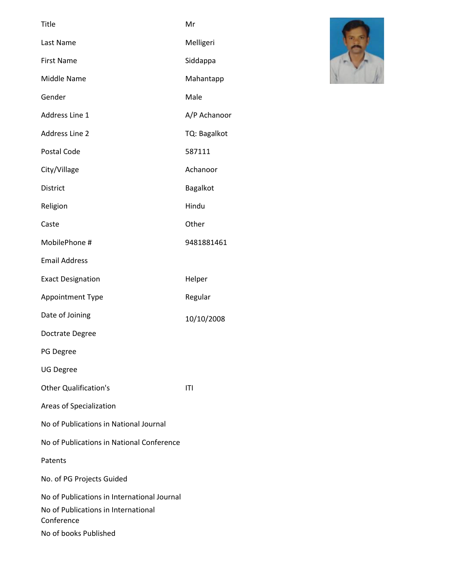| <b>Title</b>                                                                                                              | Mr           |
|---------------------------------------------------------------------------------------------------------------------------|--------------|
| Last Name                                                                                                                 | Melligeri    |
| <b>First Name</b>                                                                                                         | Siddappa     |
| Middle Name                                                                                                               | Mahantapp    |
| Gender                                                                                                                    | Male         |
| Address Line 1                                                                                                            | A/P Achanoor |
| <b>Address Line 2</b>                                                                                                     | TQ: Bagalkot |
| Postal Code                                                                                                               | 587111       |
| City/Village                                                                                                              | Achanoor     |
| <b>District</b>                                                                                                           | Bagalkot     |
| Religion                                                                                                                  | Hindu        |
| Caste                                                                                                                     | Other        |
| MobilePhone #                                                                                                             | 9481881461   |
| <b>Email Address</b>                                                                                                      |              |
| <b>Exact Designation</b>                                                                                                  | Helper       |
| Appointment Type                                                                                                          | Regular      |
| Date of Joining                                                                                                           | 10/10/2008   |
| Doctrate Degree                                                                                                           |              |
| PG Degree                                                                                                                 |              |
| <b>UG Degree</b>                                                                                                          |              |
| <b>Other Qualification's</b>                                                                                              | ITI          |
| Areas of Specialization                                                                                                   |              |
| No of Publications in National Journal                                                                                    |              |
| No of Publications in National Conference                                                                                 |              |
| Patents                                                                                                                   |              |
| No. of PG Projects Guided                                                                                                 |              |
| No of Publications in International Journal<br>No of Publications in International<br>Conference<br>No of books Published |              |